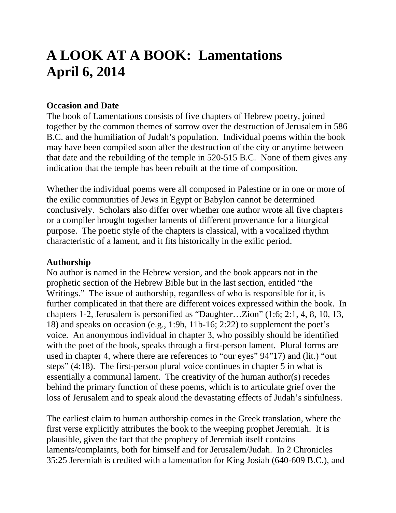# **A LOOK AT A BOOK: Lamentations April 6, 2014**

#### **Occasion and Date**

The book of Lamentations consists of five chapters of Hebrew poetry, joined together by the common themes of sorrow over the destruction of Jerusalem in 586 B.C. and the humiliation of Judah's population. Individual poems within the book may have been compiled soon after the destruction of the city or anytime between that date and the rebuilding of the temple in 520-515 B.C. None of them gives any indication that the temple has been rebuilt at the time of composition.

Whether the individual poems were all composed in Palestine or in one or more of the exilic communities of Jews in Egypt or Babylon cannot be determined conclusively. Scholars also differ over whether one author wrote all five chapters or a compiler brought together laments of different provenance for a liturgical purpose. The poetic style of the chapters is classical, with a vocalized rhythm characteristic of a lament, and it fits historically in the exilic period.

#### **Authorship**

No author is named in the Hebrew version, and the book appears not in the prophetic section of the Hebrew Bible but in the last section, entitled "the Writings." The issue of authorship, regardless of who is responsible for it, is further complicated in that there are different voices expressed within the book. In chapters 1-2, Jerusalem is personified as "Daughter…Zion" (1:6; 2:1, 4, 8, 10, 13, 18) and speaks on occasion (e.g., 1:9b, 11b-16; 2:22) to supplement the poet's voice. An anonymous individual in chapter 3, who possibly should be identified with the poet of the book, speaks through a first-person lament. Plural forms are used in chapter 4, where there are references to "our eyes" 94"17) and (lit.) "out steps" (4:18). The first-person plural voice continues in chapter 5 in what is essentially a communal lament. The creativity of the human author(s) recedes behind the primary function of these poems, which is to articulate grief over the loss of Jerusalem and to speak aloud the devastating effects of Judah's sinfulness.

The earliest claim to human authorship comes in the Greek translation, where the first verse explicitly attributes the book to the weeping prophet Jeremiah. It is plausible, given the fact that the prophecy of Jeremiah itself contains laments/complaints, both for himself and for Jerusalem/Judah. In 2 Chronicles 35:25 Jeremiah is credited with a lamentation for King Josiah (640-609 B.C.), and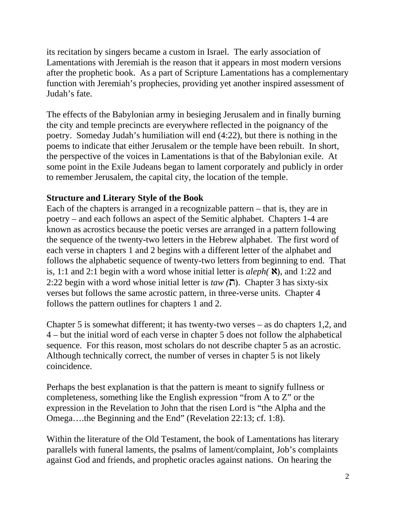its recitation by singers became a custom in Israel. The early association of Lamentations with Jeremiah is the reason that it appears in most modern versions after the prophetic book. As a part of Scripture Lamentations has a complementary function with Jeremiah's prophecies, providing yet another inspired assessment of Judah's fate.

The effects of the Babylonian army in besieging Jerusalem and in finally burning the city and temple precincts are everywhere reflected in the poignancy of the poetry. Someday Judah's humiliation will end (4:22), but there is nothing in the poems to indicate that either Jerusalem or the temple have been rebuilt. In short, the perspective of the voices in Lamentations is that of the Babylonian exile. At some point in the Exile Judeans began to lament corporately and publicly in order to remember Jerusalem, the capital city, the location of the temple.

### **Structure and Literary Style of the Book**

Each of the chapters is arranged in a recognizable pattern – that is, they are in poetry – and each follows an aspect of the Semitic alphabet. Chapters 1-4 are known as acrostics because the poetic verses are arranged in a pattern following the sequence of the twenty-two letters in the Hebrew alphabet. The first word of each verse in chapters 1 and 2 begins with a different letter of the alphabet and follows the alphabetic sequence of twenty-two letters from beginning to end. That is, 1:1 and 2:1 begin with a word whose initial letter is  $aleph(\mathbf{X})$ , and 1:22 and 2:22 begin with a word whose initial letter is *taw (***ת(**. Chapter 3 has sixty-six verses but follows the same acrostic pattern, in three-verse units. Chapter 4 follows the pattern outlines for chapters 1 and 2.

Chapter 5 is somewhat different; it has twenty-two verses – as do chapters 1,2, and 4 – but the initial word of each verse in chapter 5 does not follow the alphabetical sequence. For this reason, most scholars do not describe chapter 5 as an acrostic. Although technically correct, the number of verses in chapter 5 is not likely coincidence.

Perhaps the best explanation is that the pattern is meant to signify fullness or completeness, something like the English expression "from A to Z" or the expression in the Revelation to John that the risen Lord is "the Alpha and the Omega….the Beginning and the End" (Revelation 22:13; cf. 1:8).

Within the literature of the Old Testament, the book of Lamentations has literary parallels with funeral laments, the psalms of lament/complaint, Job's complaints against God and friends, and prophetic oracles against nations. On hearing the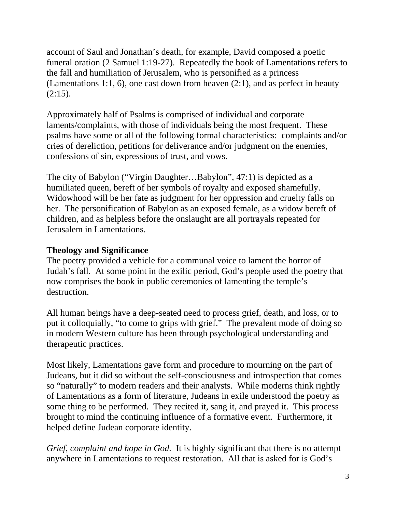account of Saul and Jonathan's death, for example, David composed a poetic funeral oration (2 Samuel 1:19-27). Repeatedly the book of Lamentations refers to the fall and humiliation of Jerusalem, who is personified as a princess (Lamentations 1:1, 6), one cast down from heaven (2:1), and as perfect in beauty  $(2:15).$ 

Approximately half of Psalms is comprised of individual and corporate laments/complaints, with those of individuals being the most frequent. These psalms have some or all of the following formal characteristics: complaints and/or cries of dereliction, petitions for deliverance and/or judgment on the enemies, confessions of sin, expressions of trust, and vows.

The city of Babylon ("Virgin Daughter…Babylon", 47:1) is depicted as a humiliated queen, bereft of her symbols of royalty and exposed shamefully. Widowhood will be her fate as judgment for her oppression and cruelty falls on her. The personification of Babylon as an exposed female, as a widow bereft of children, and as helpless before the onslaught are all portrayals repeated for Jerusalem in Lamentations.

# **Theology and Significance**

The poetry provided a vehicle for a communal voice to lament the horror of Judah's fall. At some point in the exilic period, God's people used the poetry that now comprises the book in public ceremonies of lamenting the temple's destruction.

All human beings have a deep-seated need to process grief, death, and loss, or to put it colloquially, "to come to grips with grief." The prevalent mode of doing so in modern Western culture has been through psychological understanding and therapeutic practices.

Most likely, Lamentations gave form and procedure to mourning on the part of Judeans, but it did so without the self-consciousness and introspection that comes so "naturally" to modern readers and their analysts. While moderns think rightly of Lamentations as a form of literature, Judeans in exile understood the poetry as some thing to be performed. They recited it, sang it, and prayed it. This process brought to mind the continuing influence of a formative event. Furthermore, it helped define Judean corporate identity.

*Grief, complaint and hope in God.* It is highly significant that there is no attempt anywhere in Lamentations to request restoration. All that is asked for is God's